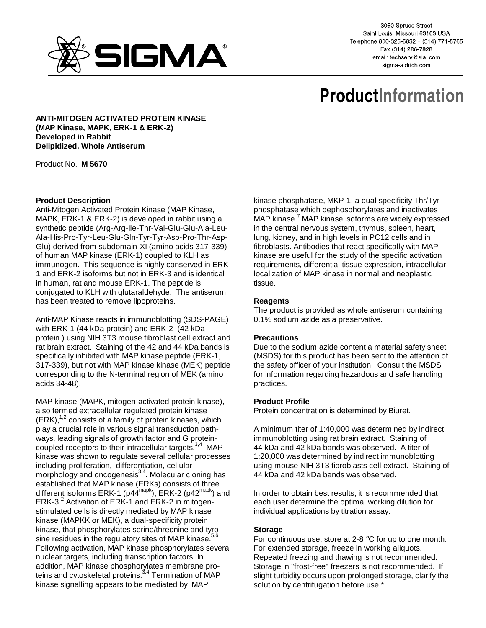

3050 Spruce Street Saint Louis, Missouri 63103 USA Telephone 800-325-5832 · (314) 771-5765 Fax (314) 286-7828 email: techserv@sial.com sigma-aldrich.com

# **ProductInformation**

**ANTI-MITOGEN ACTIVATED PROTEIN KINASE (MAP Kinase, MAPK, ERK-1 & ERK-2) Developed in Rabbit Delipidized, Whole Antiserum**

Product No. **M 5670**

## **Product Description**

Anti-Mitogen Activated Protein Kinase (MAP Kinase, MAPK, ERK-1 & ERK-2) is developed in rabbit using a synthetic peptide (Arg-Arg-Ile-Thr-Val-Glu-Glu-Ala-Leu-Ala-His-Pro-Tyr-Leu-Glu-Gln-Tyr-Tyr-Asp-Pro-Thr-Asp-Glu) derived from subdomain-XI (amino acids 317-339) of human MAP kinase (ERK-1) coupled to KLH as immunogen. This sequence is highly conserved in ERK-1 and ERK-2 isoforms but not in ERK-3 and is identical in human, rat and mouse ERK-1. The peptide is conjugated to KLH with glutaraldehyde. The antiserum has been treated to remove lipoproteins.

Anti-MAP Kinase reacts in immunoblotting (SDS-PAGE) with ERK-1 (44 kDa protein) and ERK-2 (42 kDa protein ) using NIH 3T3 mouse fibroblast cell extract and rat brain extract. Staining of the 42 and 44 kDa bands is specifically inhibited with MAP kinase peptide (ERK-1, 317-339), but not with MAP kinase kinase (MEK) peptide corresponding to the N-terminal region of MEK (amino acids 34-48).

MAP kinase (MAPK, mitogen-activated protein kinase), also termed extracellular regulated protein kinase  $(ERK),<sup>1,2</sup>$  consists of a family of protein kinases, which play a crucial role in various signal transduction pathways, leading signals of growth factor and G proteincoupled receptors to their intracellular targets. $3,4$  MAP kinase was shown to regulate several cellular processes including proliferation, differentiation, cellular morphology and oncogenesis $^{3,4}$ . Molecular cloning has established that MAP kinase (ERKs) consists of three different isoforms ERK-1 (p44<sup>mapk</sup>), ERK-2 (p42<sup>mapk</sup>) and ERK-3.<sup>2</sup> Activation of ERK-1 and ERK-2 in mitogenstimulated cells is directly mediated by MAP kinase kinase (MAPKK or MEK), a dual-specificity protein kinase, that phosphorylates serine/threonine and tyrosine residues in the regulatory sites of MAP kinase. $56$ Following activation, MAP kinase phosphorylates several nuclear targets, including transcription factors. In addition, MAP kinase phosphorylates membrane proteins and cytoskeletal proteins.<sup>3,4</sup> Termination of MAP kinase signalling appears to be mediated by MAP

kinase phosphatase, MKP-1, a dual specificity Thr/Tyr phosphatase which dephosphorylates and inactivates MAP kinase.<sup>7</sup> MAP kinase isoforms are widely expressed in the central nervous system, thymus, spleen, heart, lung, kidney, and in high levels in PC12 cells and in fibroblasts. Antibodies that react specifically with MAP kinase are useful for the study of the specific activation requirements, differential tissue expression, intracellular localization of MAP kinase in normal and neoplastic tissue.

## **Reagents**

The product is provided as whole antiserum containing 0.1% sodium azide as a preservative.

### **Precautions**

Due to the sodium azide content a material safety sheet (MSDS) for this product has been sent to the attention of the safety officer of your institution. Consult the MSDS for information regarding hazardous and safe handling practices.

### **Product Profile**

Protein concentration is determined by Biuret.

A minimum titer of 1:40,000 was determined by indirect immunoblotting using rat brain extract. Staining of 44 kDa and 42 kDa bands was observed. A titer of 1:20,000 was determined by indirect immunoblotting using mouse NIH 3T3 fibroblasts cell extract. Staining of 44 kDa and 42 kDa bands was observed.

In order to obtain best results, it is recommended that each user determine the optimal working dilution for individual applications by titration assay.

## **Storage**

For continuous use, store at 2-8 °C for up to one month. For extended storage, freeze in working aliquots. Repeated freezing and thawing is not recommended. Storage in "frost-free" freezers is not recommended. If slight turbidity occurs upon prolonged storage, clarify the solution by centrifugation before use.\*